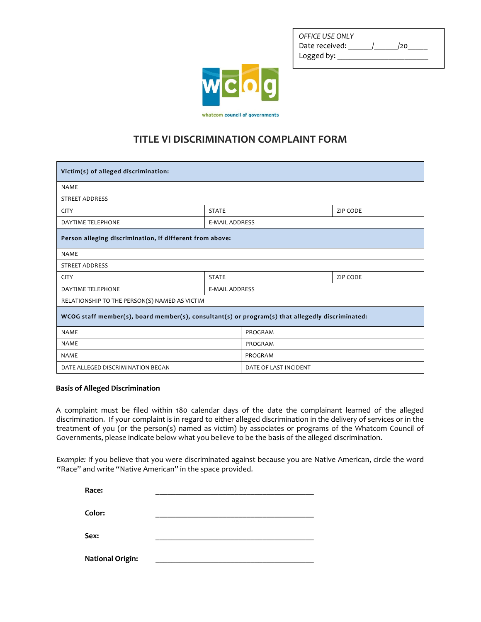| OFFICE USE ONLY |     |  |
|-----------------|-----|--|
| Date received:  | /20 |  |
| Logged by:      |     |  |



## **TITLE VI DISCRIMINATION COMPLAINT FORM**

| Victim(s) of alleged discrimination:                                                             |                       |                       |                 |  |  |
|--------------------------------------------------------------------------------------------------|-----------------------|-----------------------|-----------------|--|--|
| <b>NAME</b>                                                                                      |                       |                       |                 |  |  |
| <b>STREET ADDRESS</b>                                                                            |                       |                       |                 |  |  |
| <b>CITY</b>                                                                                      | <b>STATE</b>          |                       | <b>ZIP CODE</b> |  |  |
| <b>DAYTIME TELEPHONE</b>                                                                         | <b>E-MAIL ADDRESS</b> |                       |                 |  |  |
| Person alleging discrimination, if different from above:                                         |                       |                       |                 |  |  |
| <b>NAME</b>                                                                                      |                       |                       |                 |  |  |
| <b>STREET ADDRESS</b>                                                                            |                       |                       |                 |  |  |
| <b>CITY</b>                                                                                      | <b>STATE</b>          |                       | <b>ZIP CODE</b> |  |  |
| <b>DAYTIME TELEPHONE</b>                                                                         | <b>E-MAIL ADDRESS</b> |                       |                 |  |  |
| RELATIONSHIP TO THE PERSON(S) NAMED AS VICTIM                                                    |                       |                       |                 |  |  |
| WCOG staff member(s), board member(s), consultant(s) or program(s) that allegedly discriminated: |                       |                       |                 |  |  |
| <b>NAME</b>                                                                                      |                       | PROGRAM               |                 |  |  |
| <b>NAME</b>                                                                                      |                       | PROGRAM               |                 |  |  |
| <b>NAME</b>                                                                                      |                       | PROGRAM               |                 |  |  |
| DATE ALLEGED DISCRIMINATION BEGAN                                                                |                       | DATE OF LAST INCIDENT |                 |  |  |

## **Basis of Alleged Discrimination**

A complaint must be filed within 180 calendar days of the date the complainant learned of the alleged discrimination. If your complaint is in regard to either alleged discrimination in the delivery of services or in the treatment of you (or the person(s) named as victim) by associates or programs of the Whatcom Council of Governments, please indicate below what you believe to be the basis of the alleged discrimination.

*Example:* If you believe that you were discriminated against because you are Native American, circle the word "Race" and write "Native American" in the space provided.

| Race:                   |  |
|-------------------------|--|
| Color:                  |  |
| Sex:                    |  |
| <b>National Origin:</b> |  |